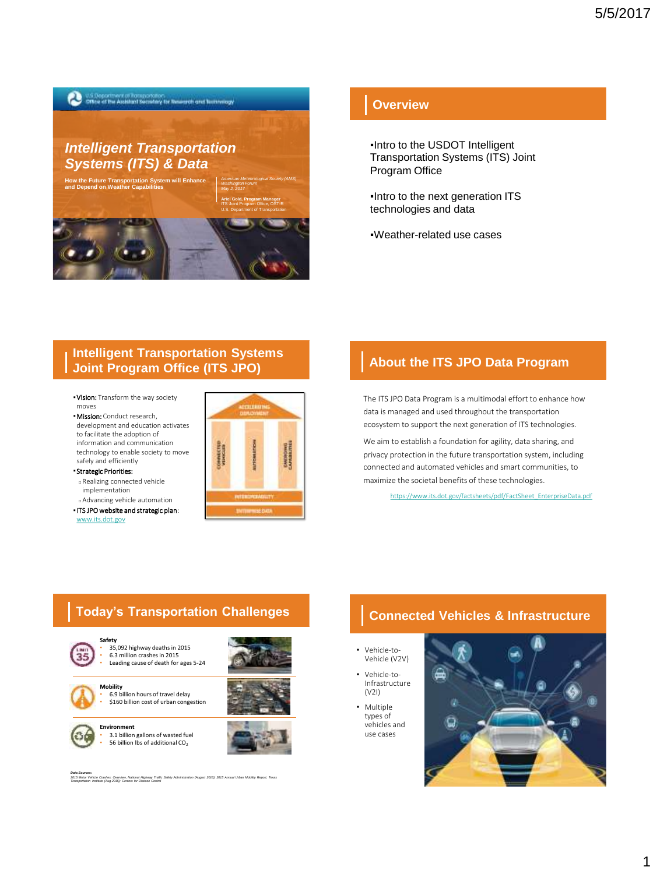

## **Overview**

▪Intro to the USDOT Intelligent Transportation Systems (ITS) Joint Program Office

▪Intro to the next generation ITS technologies and data

▪Weather-related use cases

### **Intelligent Transportation Systems Joint Program Office (ITS JPO)**

- . Vision: Transform the way society moves
- **· Mission:** Conduct research, development and education activates to facilitate the adoption of information and communication technology to enable society to move safely and efficiently

#### ▪Strategic Priorities:

- □ Realizing connected vehicle implementation
- □ Advancing vehicle automation ▪ITS JPO website and strategic plan:

[www.its.dot.gov](https://www.its.dot.gov/)



#### **About the ITS JPO Data Program**

The ITS JPO Data Program is a multimodal effort to enhance how data is managed and used throughout the transportation ecosystem to support the next generation of ITS technologies.

We aim to establish a foundation for agility, data sharing, and privacy protection in the future transportation system, including connected and automated vehicles and smart communities, to maximize the societal benefits of these technologies.

[https://www.its.dot.gov/factsheets/pdf/FactSheet\\_EnterpriseData.pdf](https://www.its.dot.gov/factsheets/pdf/FactSheet_EnterpriseData.pdf)

### **Today's Transportation Challenges**









**Environment** • 3.1 billion gallons of wasted fuel 56 billion lbs of additional CO<sub>2</sub>

Data Sources:<br>2015 Motor Vehicle Crashes: Overview, National Highway Traffic Safety Administration (August 2016); 2015 Annual Urban Mobility Report, Texas<br>Transportation Imaltute (Aug 2015); Centers for Disease Control

# **Connected Vehicles & Infrastructure**

- Vehicle-to-Vehicle (V2V)
- Vehicle-to-Infrastructure (V2I)
- Multiple types of vehicles and use cases

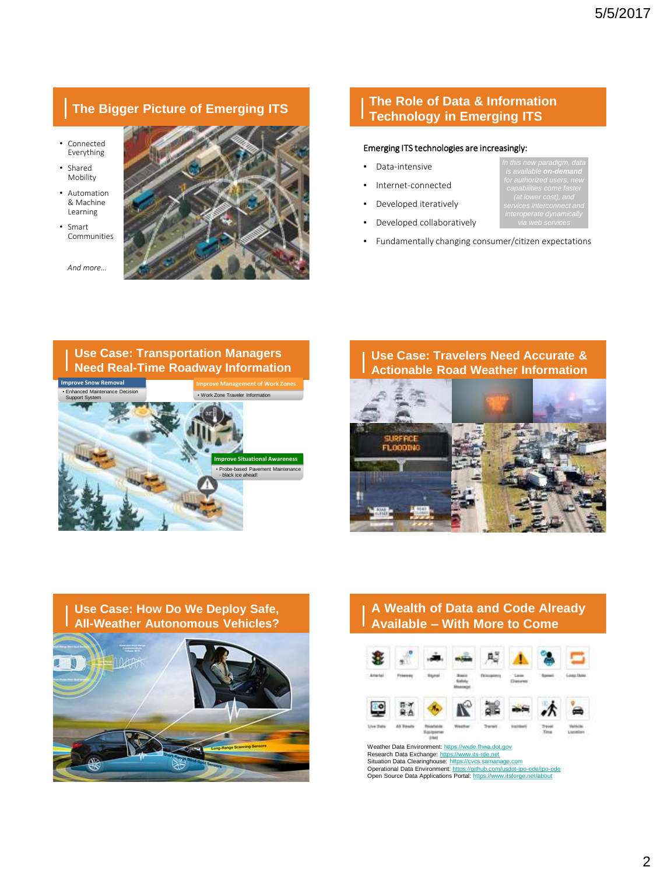# **The Bigger Picture of Emerging ITS**

- Connected Everything
- Shared Mobility
- Automation & Machine Learning
- Smart Communities

*And more…*

### **The Role of Data & Information Technology in Emerging ITS**

#### Emerging ITS technologies are increasingly:

- Data-intensive
- Internet-connected
- Developed iteratively
- Developed collaboratively
- Fundamentally changing consumer/citizen expectations

*is available on-demand*

**Use Case: Transportation Managers** 



#### **Use Case: Travelers Need Accurate & Actionable Road Weather Information**



# **Use Case: How Do We Deploy Safe, All-Weather Autonomous Vehicles?**



# **A Wealth of Data and Code Already Available – With More to Come**



Weather Data Environment: [https://wxde.fhwa.dot.gov](https://wxde.fhwa.dot.gov/) Research Data Exchange: [https://www.its-rde.net](https://www.its-rde.net/) Situation Data Clearinghouse: <u>[https://cvcs.samanage.com](https://cvcs.samanage.com/)</u><br>Operational Data Environment: <u><https://github.com/usdot-jpo-ode/jpo-ode></u><br>Open Source Data Applications Portal: <u><https://www.itsforge.net/about></u>